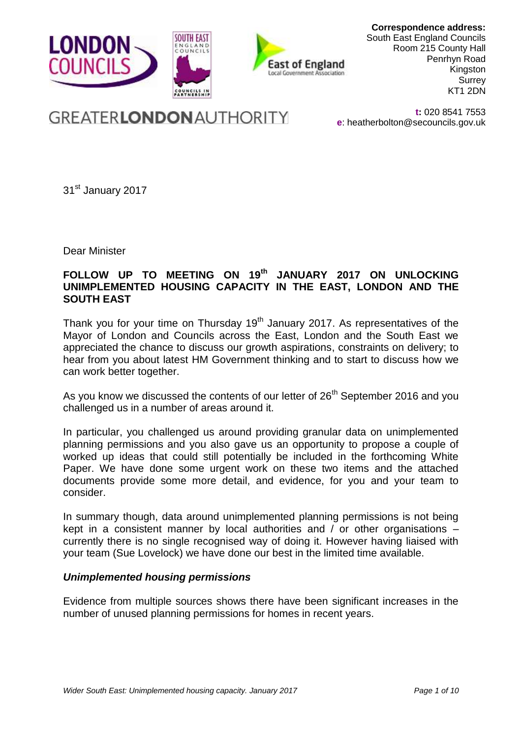

**Correspondence address:** South East England Councils Room 215 County Hall Penrhyn Road Kingston Surrey KT1 2DN

# **GREATERLONDON AUTHORITY**

**t:** 020 8541 7553 **e**: [heatherbolton@secouncils.gov.uk](mailto:heatherbolton@secouncils.gov.uk)

31<sup>st</sup> January 2017

Dear Minister

# **FOLLOW UP TO MEETING ON 19th JANUARY 2017 ON UNLOCKING UNIMPLEMENTED HOUSING CAPACITY IN THE EAST, LONDON AND THE SOUTH EAST**

Thank you for your time on Thursday  $19<sup>th</sup>$  January 2017. As representatives of the Mayor of London and Councils across the East, London and the South East we appreciated the chance to discuss our growth aspirations, constraints on delivery; to hear from you about latest HM Government thinking and to start to discuss how we can work better together.

As you know we discussed the contents of our letter of  $26<sup>th</sup>$  September 2016 and you challenged us in a number of areas around it.

In particular, you challenged us around providing granular data on unimplemented planning permissions and you also gave us an opportunity to propose a couple of worked up ideas that could still potentially be included in the forthcoming White Paper. We have done some urgent work on these two items and the attached documents provide some more detail, and evidence, for you and your team to consider.

In summary though, data around unimplemented planning permissions is not being kept in a consistent manner by local authorities and / or other organisations – currently there is no single recognised way of doing it. However having liaised with your team (Sue Lovelock) we have done our best in the limited time available.

### *Unimplemented housing permissions*

Evidence from multiple sources shows there have been significant increases in the number of unused planning permissions for homes in recent years.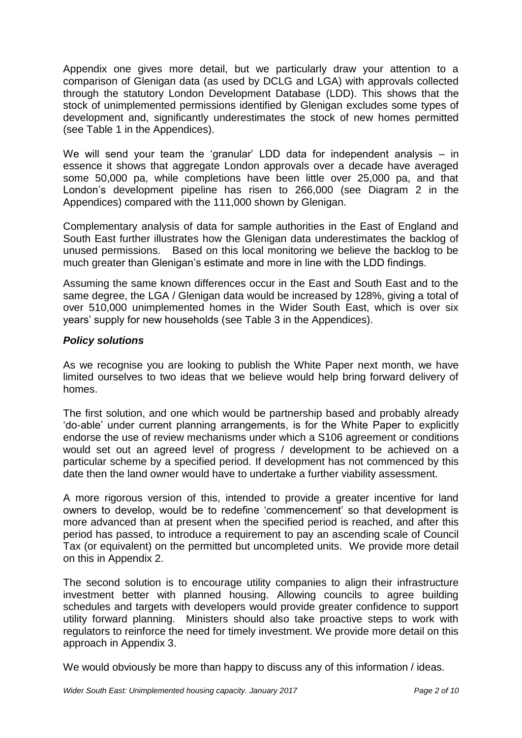Appendix one gives more detail, but we particularly draw your attention to a comparison of Glenigan data (as used by DCLG and LGA) with approvals collected through the statutory London Development Database (LDD). This shows that the stock of unimplemented permissions identified by Glenigan excludes some types of development and, significantly underestimates the stock of new homes permitted (see Table 1 in the Appendices).

We will send your team the 'granular' LDD data for independent analysis – in essence it shows that aggregate London approvals over a decade have averaged some 50,000 pa, while completions have been little over 25,000 pa, and that London's development pipeline has risen to 266,000 (see Diagram 2 in the Appendices) compared with the 111,000 shown by Glenigan.

Complementary analysis of data for sample authorities in the East of England and South East further illustrates how the Glenigan data underestimates the backlog of unused permissions. Based on this local monitoring we believe the backlog to be much greater than Glenigan's estimate and more in line with the LDD findings.

Assuming the same known differences occur in the East and South East and to the same degree, the LGA / Glenigan data would be increased by 128%, giving a total of over 510,000 unimplemented homes in the Wider South East, which is over six years' supply for new households (see Table 3 in the Appendices).

# *Policy solutions*

As we recognise you are looking to publish the White Paper next month, we have limited ourselves to two ideas that we believe would help bring forward delivery of homes.

The first solution, and one which would be partnership based and probably already 'do-able' under current planning arrangements, is for the White Paper to explicitly endorse the use of review mechanisms under which a S106 agreement or conditions would set out an agreed level of progress / development to be achieved on a particular scheme by a specified period. If development has not commenced by this date then the land owner would have to undertake a further viability assessment.

A more rigorous version of this, intended to provide a greater incentive for land owners to develop, would be to redefine 'commencement' so that development is more advanced than at present when the specified period is reached, and after this period has passed, to introduce a requirement to pay an ascending scale of Council Tax (or equivalent) on the permitted but uncompleted units. We provide more detail on this in Appendix 2.

The second solution is to encourage utility companies to align their infrastructure investment better with planned housing. Allowing councils to agree building schedules and targets with developers would provide greater confidence to support utility forward planning. Ministers should also take proactive steps to work with regulators to reinforce the need for timely investment. We provide more detail on this approach in Appendix 3.

We would obviously be more than happy to discuss any of this information / ideas.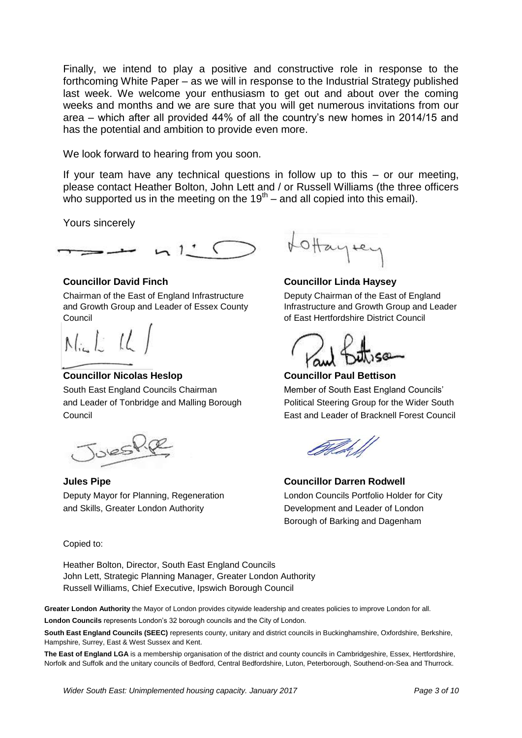Finally, we intend to play a positive and constructive role in response to the forthcoming White Paper – as we will in response to the Industrial Strategy published last week. We welcome your enthusiasm to get out and about over the coming weeks and months and we are sure that you will get numerous invitations from our area – which after all provided 44% of all the country's new homes in 2014/15 and has the potential and ambition to provide even more.

We look forward to hearing from you soon.

If your team have any technical questions in follow up to this  $-$  or our meeting. please contact Heather Bolton, John Lett and / or Russell Williams (the three officers who supported us in the meeting on the  $19<sup>th</sup>$  – and all copied into this email).

Yours sincerely



Chairman of the East of England Infrastructure Deputy Chairman of the East of England and Growth Group and Leader of Essex County Infrastructure and Growth Group and Leader Council of East Hertfordshire District Council

 $N_{\text{in}}L_{\text{in}}L$ 

### **Councillor Nicolas Heslop Councillor Paul Bettison**

South East England Councils Chairman Member of South East England Councils' and Leader of Tonbridge and Malling Borough Political Steering Group for the Wider South Council East and Leader of Bracknell Forest Council

 $SSE$ 

**Jules Pipe Councillor Darren Rodwell** Deputy Mayor for Planning, Regeneration London Councils Portfolio Holder for City and Skills, Greater London Authority Development and Leader of London

Copied to:

Heather Bolton, Director, South East England Councils John Lett, Strategic Planning Manager, Greater London Authority Russell Williams, Chief Executive, Ipswich Borough Council

**Greater London Authority** the Mayor of London provides citywide leadership and creates policies to improve London for all.

**London Councils** represents London's 32 borough councils and the City of London.

**South East England Councils (SEEC)** represents county, unitary and district councils in Buckinghamshire, Oxfordshire, Berkshire, Hampshire, Surrey, East & West Sussex and Kent.

**The East of England LGA** is a membership organisation of the district and county councils in Cambridgeshire, Essex, Hertfordshire, Norfolk and Suffolk and the unitary councils of Bedford, Central Bedfordshire, Luton, Peterborough, Southend-on-Sea and Thurrock.





### **Councillor David Finch Councillor Linda Haysey**

USS.

Borough of Barking and Dagenham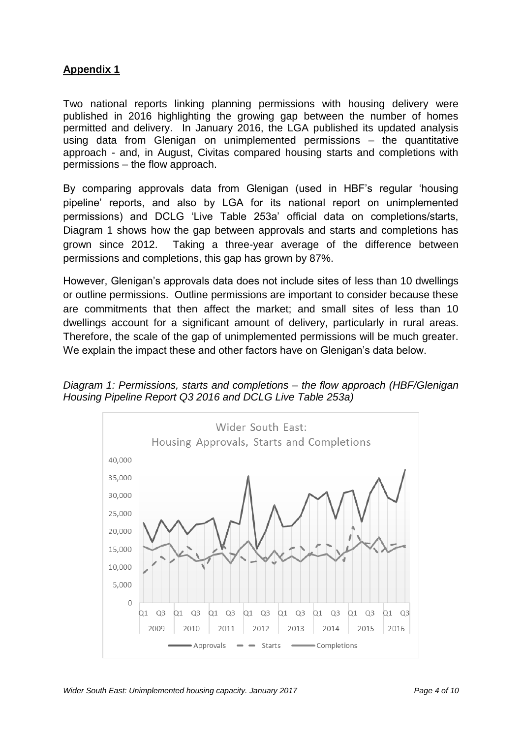# **Appendix 1**

Two national reports linking planning permissions with housing delivery were published in 2016 highlighting the growing gap between the number of homes permitted and delivery. In January 2016, the LGA published its updated analysis using data from Glenigan on unimplemented permissions – the quantitative approach - and, in August, Civitas compared housing starts and completions with permissions – the flow approach.

By comparing approvals data from Glenigan (used in HBF's regular 'housing pipeline' reports, and also by LGA for its national report on unimplemented permissions) and DCLG 'Live Table 253a' official data on completions/starts, Diagram 1 shows how the gap between approvals and starts and completions has grown since 2012. Taking a three-year average of the difference between permissions and completions, this gap has grown by 87%.

However, Glenigan's approvals data does not include sites of less than 10 dwellings or outline permissions. Outline permissions are important to consider because these are commitments that then affect the market; and small sites of less than 10 dwellings account for a significant amount of delivery, particularly in rural areas. Therefore, the scale of the gap of unimplemented permissions will be much greater. We explain the impact these and other factors have on Glenigan's data below.

*Diagram 1: Permissions, starts and completions – the flow approach (HBF/Glenigan Housing Pipeline Report Q3 2016 and DCLG Live Table 253a)*

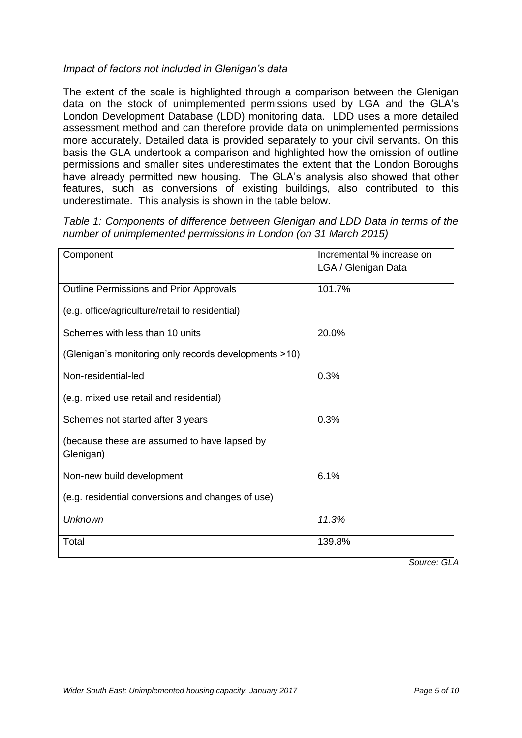# *Impact of factors not included in Glenigan's data*

The extent of the scale is highlighted through a comparison between the Glenigan data on the stock of unimplemented permissions used by LGA and the GLA's London Development Database (LDD) monitoring data. LDD uses a more detailed assessment method and can therefore provide data on unimplemented permissions more accurately. Detailed data is provided separately to your civil servants. On this basis the GLA undertook a comparison and highlighted how the omission of outline permissions and smaller sites underestimates the extent that the London Boroughs have already permitted new housing. The GLA's analysis also showed that other features, such as conversions of existing buildings, also contributed to this underestimate. This analysis is shown in the table below.

| Table 1: Components of difference between Glenigan and LDD Data in terms of the |  |
|---------------------------------------------------------------------------------|--|
| number of unimplemented permissions in London (on 31 March 2015)                |  |

| Component                                                 | Incremental % increase on |
|-----------------------------------------------------------|---------------------------|
|                                                           | LGA / Glenigan Data       |
|                                                           |                           |
| Outline Permissions and Prior Approvals                   | 101.7%                    |
| (e.g. office/agriculture/retail to residential)           |                           |
| Schemes with less than 10 units                           | 20.0%                     |
| (Glenigan's monitoring only records developments >10)     |                           |
| Non-residential-led                                       | 0.3%                      |
| (e.g. mixed use retail and residential)                   |                           |
| Schemes not started after 3 years                         | 0.3%                      |
| (because these are assumed to have lapsed by<br>Glenigan) |                           |
| Non-new build development                                 | 6.1%                      |
| (e.g. residential conversions and changes of use)         |                           |
| <b>Unknown</b>                                            | 11.3%                     |
| Total                                                     | 139.8%                    |

*Source: GLA*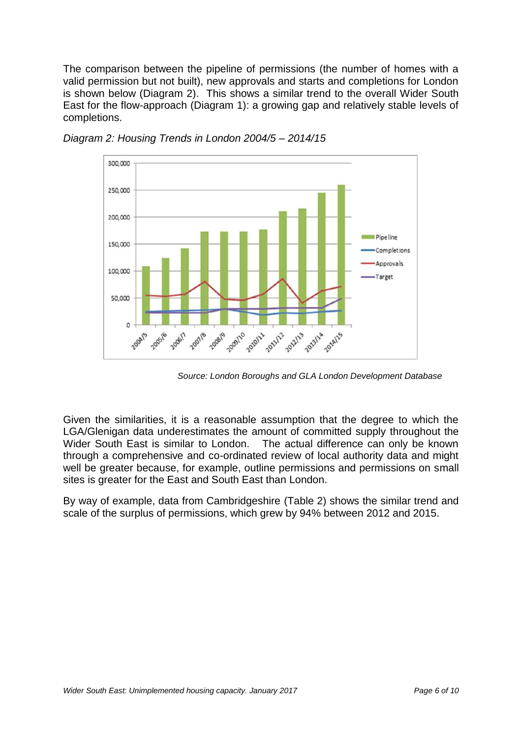The comparison between the pipeline of permissions (the number of homes with a valid permission but not built), new approvals and starts and completions for London is shown below (Diagram 2). This shows a similar trend to the overall Wider South East for the flow-approach (Diagram 1): a growing gap and relatively stable levels of completions.



*Diagram 2: Housing Trends in London 2004/5 – 2014/15* 

 *Source: London Boroughs and GLA London Development Database* 

Given the similarities, it is a reasonable assumption that the degree to which the LGA/Glenigan data underestimates the amount of committed supply throughout the Wider South East is similar to London. The actual difference can only be known through a comprehensive and co-ordinated review of local authority data and might well be greater because, for example, outline permissions and permissions on small sites is greater for the East and South East than London.

By way of example, data from Cambridgeshire (Table 2) shows the similar trend and scale of the surplus of permissions, which grew by 94% between 2012 and 2015.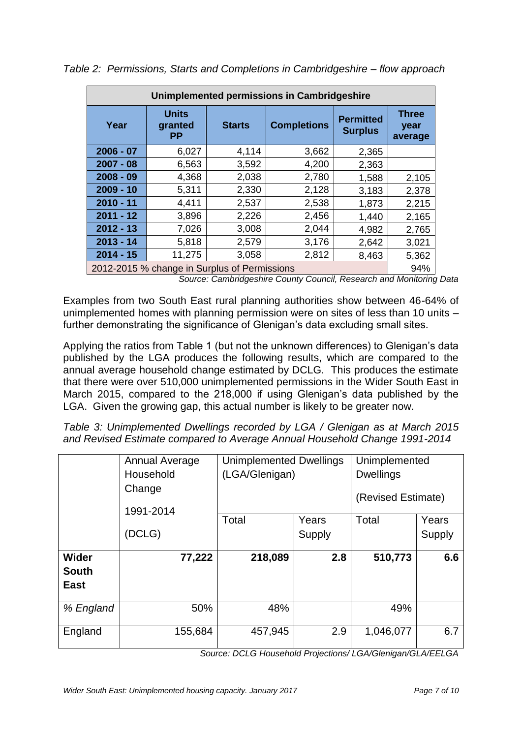| Unimplemented permissions in Cambridgeshire  |                                      |               |                    |                                    |                                 |  |  |
|----------------------------------------------|--------------------------------------|---------------|--------------------|------------------------------------|---------------------------------|--|--|
| Year                                         | <b>Units</b><br>granted<br><b>PP</b> | <b>Starts</b> | <b>Completions</b> | <b>Permitted</b><br><b>Surplus</b> | <b>Three</b><br>year<br>average |  |  |
| $2006 - 07$                                  | 6,027                                | 4,114         | 3,662              | 2,365                              |                                 |  |  |
| $2007 - 08$                                  | 6,563                                | 3,592         | 4,200              | 2,363                              |                                 |  |  |
| $2008 - 09$                                  | 4,368                                | 2,038         | 2,780              | 1,588                              | 2,105                           |  |  |
| $2009 - 10$                                  | 5,311                                | 2,330         | 2,128              | 3,183                              | 2,378                           |  |  |
| $2010 - 11$                                  | 4,411                                | 2,537         | 2,538              | 1,873                              | 2,215                           |  |  |
| $2011 - 12$                                  | 3,896                                | 2,226         | 2,456              | 1,440                              | 2,165                           |  |  |
| $2012 - 13$                                  | 7,026                                | 3,008         | 2,044              | 4,982                              | 2,765                           |  |  |
| $2013 - 14$                                  | 5,818                                | 2,579         | 3,176              | 2,642                              | 3,021                           |  |  |
| $2014 - 15$                                  | 11,275                               | 3,058         | 2,812              | 8,463                              | 5,362                           |  |  |
| 2012-2015 % change in Surplus of Permissions |                                      |               |                    |                                    | 94%                             |  |  |

*Table 2: Permissions, Starts and Completions in Cambridgeshire – flow approach*

*Source: Cambridgeshire County Council, Research and Monitoring Data*

Examples from two South East rural planning authorities show between 46-64% of unimplemented homes with planning permission were on sites of less than 10 units – further demonstrating the significance of Glenigan's data excluding small sites.

Applying the ratios from Table 1 (but not the unknown differences) to Glenigan's data published by the LGA produces the following results, which are compared to the annual average household change estimated by DCLG. This produces the estimate that there were over 510,000 unimplemented permissions in the Wider South East in March 2015, compared to the 218,000 if using Glenigan's data published by the LGA. Given the growing gap, this actual number is likely to be greater now.

*Table 3: Unimplemented Dwellings recorded by LGA / Glenigan as at March 2015 and Revised Estimate compared to Average Annual Household Change 1991-2014*

|                                      | Annual Average<br>Household<br>Change<br>1991-2014 | <b>Unimplemented Dwellings</b><br>(LGA/Glenigan) |                 | Unimplemented<br><b>Dwellings</b><br>(Revised Estimate) |                 |
|--------------------------------------|----------------------------------------------------|--------------------------------------------------|-----------------|---------------------------------------------------------|-----------------|
|                                      | (DCLG)                                             | Total                                            | Years<br>Supply | Total                                                   | Years<br>Supply |
| Wider<br><b>South</b><br><b>East</b> | 77,222                                             | 218,089                                          | 2.8             | 510,773                                                 | 6.6             |
| % England                            | 50%                                                | 48%                                              |                 | 49%                                                     |                 |
| England                              | 155,684                                            | 457,945                                          | 2.9             | 1,046,077                                               | 6.7             |

*Source: DCLG Household Projections/ LGA/Glenigan/GLA/EELGA*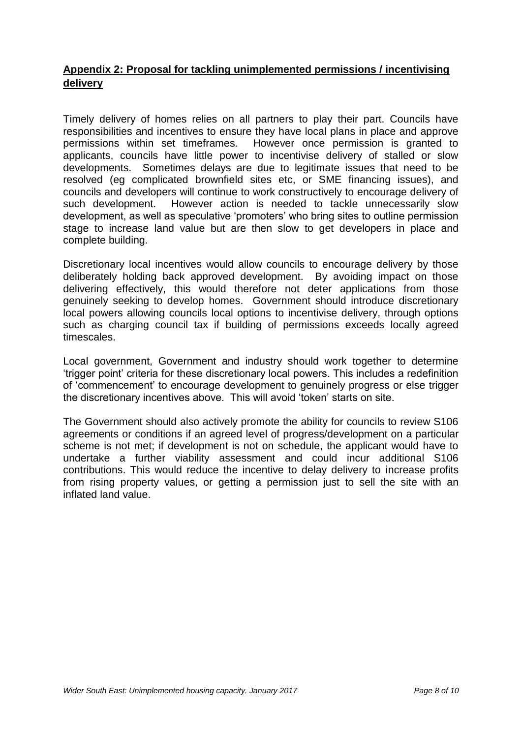# **Appendix 2: Proposal for tackling unimplemented permissions / incentivising delivery**

Timely delivery of homes relies on all partners to play their part. Councils have responsibilities and incentives to ensure they have local plans in place and approve permissions within set timeframes. However once permission is granted to applicants, councils have little power to incentivise delivery of stalled or slow developments. Sometimes delays are due to legitimate issues that need to be resolved (eg complicated brownfield sites etc, or SME financing issues), and councils and developers will continue to work constructively to encourage delivery of such development. However action is needed to tackle unnecessarily slow development, as well as speculative 'promoters' who bring sites to outline permission stage to increase land value but are then slow to get developers in place and complete building.

Discretionary local incentives would allow councils to encourage delivery by those deliberately holding back approved development. By avoiding impact on those delivering effectively, this would therefore not deter applications from those genuinely seeking to develop homes. Government should introduce discretionary local powers allowing councils local options to incentivise delivery, through options such as charging council tax if building of permissions exceeds locally agreed timescales.

Local government, Government and industry should work together to determine 'trigger point' criteria for these discretionary local powers. This includes a redefinition of 'commencement' to encourage development to genuinely progress or else trigger the discretionary incentives above. This will avoid 'token' starts on site.

The Government should also actively promote the ability for councils to review S106 agreements or conditions if an agreed level of progress/development on a particular scheme is not met; if development is not on schedule, the applicant would have to undertake a further viability assessment and could incur additional S106 contributions. This would reduce the incentive to delay delivery to increase profits from rising property values, or getting a permission just to sell the site with an inflated land value.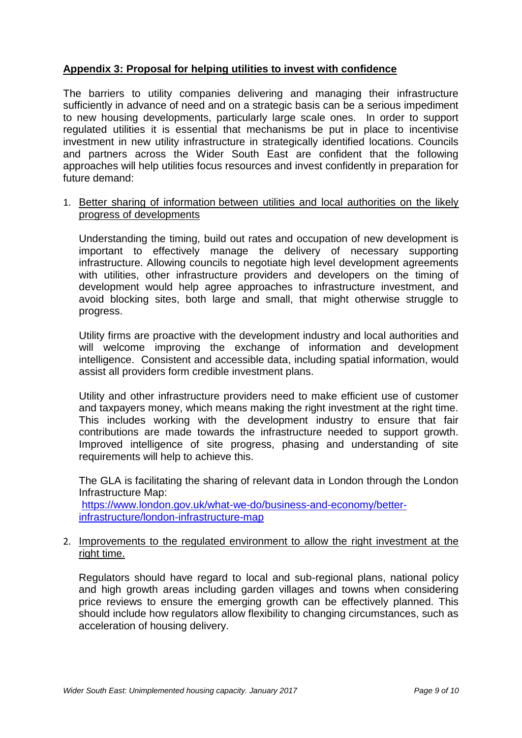## **Appendix 3: Proposal for helping utilities to invest with confidence**

The barriers to utility companies delivering and managing their infrastructure sufficiently in advance of need and on a strategic basis can be a serious impediment to new housing developments, particularly large scale ones. In order to support regulated utilities it is essential that mechanisms be put in place to incentivise investment in new utility infrastructure in strategically identified locations. Councils and partners across the Wider South East are confident that the following approaches will help utilities focus resources and invest confidently in preparation for future demand:

1. Better sharing of information between utilities and local authorities on the likely progress of developments

Understanding the timing, build out rates and occupation of new development is important to effectively manage the delivery of necessary supporting infrastructure. Allowing councils to negotiate high level development agreements with utilities, other infrastructure providers and developers on the timing of development would help agree approaches to infrastructure investment, and avoid blocking sites, both large and small, that might otherwise struggle to progress.

Utility firms are proactive with the development industry and local authorities and will welcome improving the exchange of information and development intelligence. Consistent and accessible data, including spatial information, would assist all providers form credible investment plans.

Utility and other infrastructure providers need to make efficient use of customer and taxpayers money, which means making the right investment at the right time. This includes working with the development industry to ensure that fair contributions are made towards the infrastructure needed to support growth. Improved intelligence of site progress, phasing and understanding of site requirements will help to achieve this.

The GLA is facilitating the sharing of relevant data in London through the London Infrastructure Map: [https://www.london.gov.uk/what-we-do/business-and-economy/better](https://www.london.gov.uk/what-we-do/business-and-economy/better-infrastructure/london-infrastructure-map)[infrastructure/london-infrastructure-map](https://www.london.gov.uk/what-we-do/business-and-economy/better-infrastructure/london-infrastructure-map)

### 2. Improvements to the regulated environment to allow the right investment at the right time.

Regulators should have regard to local and sub-regional plans, national policy and high growth areas including garden villages and towns when considering price reviews to ensure the emerging growth can be effectively planned. This should include how regulators allow flexibility to changing circumstances, such as acceleration of housing delivery.